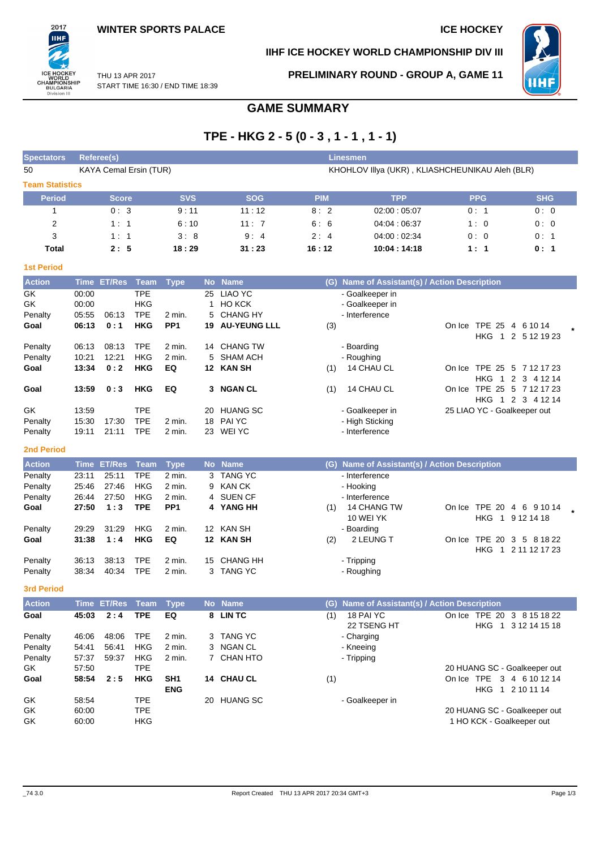

## **IIHF ICE HOCKEY WORLD CHAMPIONSHIP DIV III**

THU 13 APR 2017 START TIME 16:30 / END TIME 18:39 **PRELIMINARY ROUND - GROUP A, GAME 11**



# **GAME SUMMARY**

## **TPE - HKG 2 - 5 (0 - 3 , 1 - 1 , 1 - 1)**

| <b>Spectators</b>      | Referee(s)                    |            |            | <b>Linesmen</b> |                                                 |            |            |
|------------------------|-------------------------------|------------|------------|-----------------|-------------------------------------------------|------------|------------|
| 50                     | <b>KAYA Cemal Ersin (TUR)</b> |            |            |                 | KHOHLOV IIIya (UKR), KLIASHCHEUNIKAU Aleh (BLR) |            |            |
| <b>Team Statistics</b> |                               |            |            |                 |                                                 |            |            |
| <b>Period</b>          | <b>Score</b>                  | <b>SVS</b> | <b>SOG</b> | <b>PIM</b>      | <b>TPP</b>                                      | <b>PPG</b> | <b>SHG</b> |
|                        | 0:3                           | 9:11       | 11:12      | 8:2             | 02:00:05:07                                     | 0:1        | 0:0        |
| 2                      | 1:1                           | 6:10       | 11:7       | 6:6             | 04:04:06:37                                     | 1:0        | 0:0        |
| 3                      | 1:1                           | 3:8        | 9:4        | 2:4             | 04.00:02.34                                     | 0:0        | 0:1        |
| Total                  | 2:5                           | 18:29      | 31:23      | 16:12           | 10:04:14:18                                     | 1:1        | 0:1        |
| <b>1st Period</b>      |                               |            |            |                 |                                                 |            |            |

| <b>Action</b> |       | Time ET/Res Team Type |            |                 |    | No Name                | (G) | Name of Assistant(s) / Action Description |        |                             |  |
|---------------|-------|-----------------------|------------|-----------------|----|------------------------|-----|-------------------------------------------|--------|-----------------------------|--|
| GK            | 00:00 |                       | <b>TPE</b> |                 | 25 | LIAO YC                |     | - Goalkeeper in                           |        |                             |  |
| GK            | 00:00 |                       | <b>HKG</b> |                 |    | <b>HO KCK</b>          |     | - Goalkeeper in                           |        |                             |  |
| Penalty       | 05:55 | 06:13                 | <b>TPE</b> | $2$ min.        |    | 5 CHANG HY             |     | - Interference                            |        |                             |  |
| Goal          | 06:13 | 0:1                   | HKG        | PP <sub>1</sub> |    | <b>19 AU-YEUNG LLL</b> | (3) |                                           | On Ice | <b>TPE 25</b><br>4 6 10 14  |  |
|               |       |                       |            |                 |    |                        |     |                                           |        | HKG 1 2 5 12 19 23          |  |
| Penalty       | 06:13 | 08:13                 | <b>TPE</b> | 2 min.          |    | 14 CHANG TW            |     | - Boarding                                |        |                             |  |
| Penalty       | 10:21 | 12:21                 | <b>HKG</b> | 2 min.          |    | 5 SHAM ACH             |     | - Roughing                                |        |                             |  |
| Goal          | 13:34 | 0:2                   | <b>HKG</b> | EQ              |    | 12 KAN SH              | (1) | <b>14 CHAU CL</b>                         |        | On Ice TPE 25 5 7 12 17 23  |  |
|               |       |                       |            |                 |    |                        |     |                                           |        | HKG 1 2 3 4 12 14           |  |
| Goal          | 13:59 | 0:3                   | HKG        | EQ              |    | 3 NGAN CL              | (1) | 14 CHAU CL                                | On Ice | TPE 25 5 7 12 17 23         |  |
|               |       |                       |            |                 |    |                        |     |                                           |        | HKG 1 2 3 4 12 14           |  |
| GK            | 13:59 |                       | <b>TPE</b> |                 | 20 | <b>HUANG SC</b>        |     | - Goalkeeper in                           |        | 25 LIAO YC - Goalkeeper out |  |
| Penalty       | 15:30 | 17:30                 | <b>TPE</b> | 2 min.          |    | 18 PAI YC              |     | - High Sticking                           |        |                             |  |
| Penalty       | 19:11 | 21:11                 | <b>TPE</b> | $2$ min.        | 23 | WEI YC                 |     | - Interference                            |        |                             |  |

#### **2nd Period**

| <b>Action</b> |       | Time ET/Res Team Type |            |                 | No Name     | (G) | <b>Name of Assistant(s) / Action Description</b> |        |                           |  |
|---------------|-------|-----------------------|------------|-----------------|-------------|-----|--------------------------------------------------|--------|---------------------------|--|
| Penalty       | 23:11 | 25:11                 | <b>TPE</b> | 2 min.          | 3 TANG YC   |     | - Interference                                   |        |                           |  |
| Penalty       | 25:46 | 27:46                 | <b>HKG</b> | 2 min.          | 9 KAN CK    |     | - Hooking                                        |        |                           |  |
| Penalty       | 26:44 | 27:50                 | <b>HKG</b> | 2 min.          | 4 SUEN CF   |     | - Interference                                   |        |                           |  |
| Goal          | 27:50 | 1:3                   | <b>TPE</b> | PP <sub>1</sub> | 4 YANG HH   | (1) | 14 CHANG TW                                      |        | On Ice TPE 20 4 6 9 10 14 |  |
|               |       |                       |            |                 |             |     | 10 WEI YK                                        |        | HKG 1 9 12 14 18          |  |
| Penalty       | 29:29 | 31:29                 | <b>HKG</b> | 2 min.          | 12 KAN SH   |     | - Boarding                                       |        |                           |  |
| Goal          | 31:38 | 1:4                   | HKG        | EQ              | 12 KAN SH   | (2) | 2 LEUNG T                                        | On Ice | TPE 20 3 5 8 18 22        |  |
|               |       |                       |            |                 |             |     |                                                  |        | HKG 1 2 11 12 17 23       |  |
| Penalty       | 36.13 | 38.13                 | <b>TPE</b> | 2 min.          | 15 CHANG HH |     | - Tripping                                       |        |                           |  |
| Penalty       | 38:34 | 40:34                 | TPE        | 2 min.          | 3 TANG YC   |     | - Roughing                                       |        |                           |  |

**3rd Period**

| <b>Action</b> |       | Time ET/Res Team |            | <b>Type</b>     | <b>No</b> | <b>Name</b> | (G) Name of Assistant(s) / Action Description                                                              |
|---------------|-------|------------------|------------|-----------------|-----------|-------------|------------------------------------------------------------------------------------------------------------|
| Goal          | 45:03 | 2:4              | <b>TPE</b> | EQ              |           | 8 LINTC     | 18 PAI YC<br>TPE 20 3 8 15 18 22<br>On Ice<br>(1)<br>22 TSENG HT<br>HKG<br>3 12 14 15 18<br>$\overline{1}$ |
| Penalty       | 46:06 | 48:06            | TPE        | 2 min.          |           | 3 TANG YC   | - Charging                                                                                                 |
| Penalty       | 54:41 | 56:41            | <b>HKG</b> | $2$ min.        |           | 3 NGAN CL   | - Kneeing                                                                                                  |
| Penalty       | 57:37 | 59:37            | <b>HKG</b> | 2 min.          |           | 7 CHAN HTO  | - Tripping                                                                                                 |
| GK            | 57:50 |                  | TPE        |                 |           |             | 20 HUANG SC - Goalkeeper out                                                                               |
| Goal          | 58:54 | 2:5              | <b>HKG</b> | SH <sub>1</sub> |           | 14 CHAU CL  | On Ice TPE<br>(1)<br>3 4 6 10 12 14                                                                        |
|               |       |                  |            | <b>ENG</b>      |           |             | 1 2 10 11 14<br>HKG                                                                                        |
| GK.           | 58:54 |                  | TPE        |                 |           | 20 HUANG SC | - Goalkeeper in                                                                                            |
| GK            | 60:00 |                  | TPE        |                 |           |             | 20 HUANG SC - Goalkeeper out                                                                               |
| GK            | 60:00 |                  | HKG        |                 |           |             | 1 HO KCK - Goalkeeper out                                                                                  |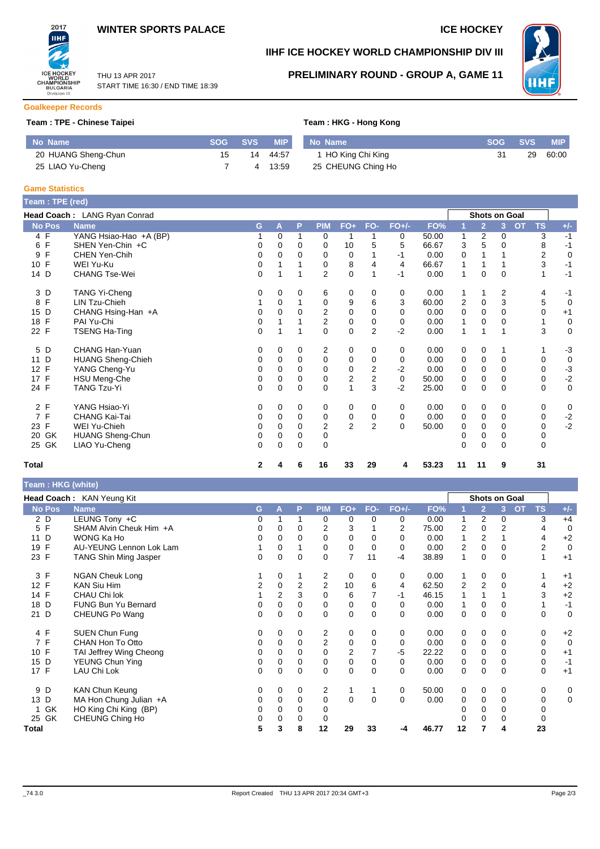



## **IIHF ICE HOCKEY WORLD CHAMPIONSHIP DIV III**



THU 13 APR 2017 START TIME 16:30 / END TIME 18:39

# **PRELIMINARY ROUND - GROUP A, GAME 11**

## **Goalkeeper Records**

## **Team : TPE - Chinese Taipei Team : HKG - Hong Kong**

|  |  | Team : HKG - Hong Kong |  |
|--|--|------------------------|--|
|  |  |                        |  |

| No Name             | <b>SOG</b> | <b>SVS</b> | MIP   | No Name            | <b>SOG</b> | <b>SVS</b> | <b>MIP</b> |
|---------------------|------------|------------|-------|--------------------|------------|------------|------------|
| 20 HUANG Sheng-Chun | 15         | 14         | 44:57 | 1 HO King Chi King |            | 29         | 60:00      |
| 25 LIAO Yu-Cheng    |            |            | 13:59 | 25 CHEUNG Ching Ho |            |            |            |

#### **Game Statistics**

| Team : TPE (red)  |                              |              |             |             |                         |                |                |         |       |                |                |          |           |                |                   |
|-------------------|------------------------------|--------------|-------------|-------------|-------------------------|----------------|----------------|---------|-------|----------------|----------------|----------|-----------|----------------|-------------------|
|                   | Head Coach: LANG Ryan Conrad |              |             |             |                         |                |                |         |       |                | Shots on Goal  |          |           |                |                   |
| <b>No Pos</b>     | <b>Name</b>                  | G            | A           | P           | <b>PIM</b>              | FO+            | FO-            | $FO+/-$ | FO%   |                | $\overline{2}$ | 3        | <b>OT</b> | <b>TS</b>      | $+/-$             |
| 4 F               | YANG Hsiao-Hao +A (BP)       |              | $\mathbf 0$ | 1           | 0                       | 1              | 1              | 0       | 50.00 |                | 2              | 0        |           | 3              | $-1$              |
| $\mathsf{F}$<br>6 | SHEN Yen-Chin +C             | 0            | 0           | $\Omega$    | 0                       | 10             | 5              | 5       | 66.67 | 3              | 5              | 0        |           | 8              | $-1$              |
| F<br>9            | CHEN Yen-Chih                | 0            | 0           | 0           | 0                       | 0              |                | $-1$    | 0.00  | 0              |                |          |           | $\overline{2}$ | 0                 |
| 10 F              | WEI Yu-Ku                    | 0            |             |             | 0                       | 8              | 4              | 4       | 66.67 |                |                |          |           | 3              | $-1$              |
| 14 D              | <b>CHANG Tse-Wei</b>         | 0            |             |             | $\overline{2}$          | 0              |                | $-1$    | 0.00  |                | 0              | $\Omega$ |           |                | $-1$              |
| 3 D               | <b>TANG Yi-Cheng</b>         | 0            | 0           | 0           | 6                       | 0              | 0              | 0       | 0.00  |                |                | 2        |           | 4              | -1                |
| F<br>8            | LIN Tzu-Chieh                |              | 0           |             | 0                       | 9              | 6              | 3       | 60.00 | $\overline{2}$ | 0              | 3        |           | 5              | $\mathbf 0$       |
| 15 D              | CHANG Hsing-Han +A           |              | $\Omega$    | $\Omega$    | $\overline{\mathbf{c}}$ | $\mathbf 0$    | $\mathbf 0$    | 0       | 0.00  | 0              | $\mathbf 0$    | $\Omega$ |           | $\mathbf 0$    | $+1$              |
| F<br>18           | PAI Yu-Chi                   | 0            |             |             | $\overline{2}$          | $\mathbf 0$    | $\mathbf 0$    | 0       | 0.00  |                | 0              | $\Omega$ |           | 1              | $\mathbf 0$       |
| 22 F              | <b>TSENG Ha-Ting</b>         | 0            |             |             | 0                       | 0              | 2              | $-2$    | 0.00  |                | 1              |          |           | 3              | $\mathbf 0$       |
| 5 D               | CHANG Han-Yuan               | 0            | 0           | 0           | 2                       | 0              | 0              | 0       | 0.00  | 0              | 0              |          |           | 1              | $-3$              |
| D<br>11           | <b>HUANG Sheng-Chieh</b>     | 0            | 0           | 0           | 0                       | 0              | 0              | 0       | 0.00  | 0              | 0              | 0        |           | 0              | $\mathbf 0$       |
| 12 F              | YANG Cheng-Yu                | 0            | 0           | 0           | 0                       | $\pmb{0}$      | 2              | $-2$    | 0.00  | 0              | 0              | 0        |           | 0              | $-3$              |
| 17 F              | <b>HSU Meng-Che</b>          | 0            | 0           | $\mathbf 0$ | 0                       | $\overline{c}$ | $\mathbf 2$    | 0       | 50.00 | 0              | $\mathbf 0$    | 0        |           | 0              | $\textnormal{-}2$ |
| 24 F              | <b>TANG Tzu-Yi</b>           | 0            | 0           | $\Omega$    | 0                       | $\mathbf{1}$   | 3              | $-2$    | 25.00 | 0              | $\mathbf 0$    | $\Omega$ |           | 0              | $\mathbf 0$       |
| 2 F               | YANG Hsiao-Yi                | 0            | 0           | 0           | 0                       | 0              | 0              | 0       | 0.00  | 0              | 0              | 0        |           | 0              | 0                 |
| 7F                | CHANG Kai-Tai                | 0            | 0           | $\mathbf 0$ | 0                       | $\pmb{0}$      | 0              | 0       | 0.00  | 0              | 0              | 0        |           | 0              | $-2$              |
| 23 F              | WEI Yu-Chieh                 | 0            | 0           | 0           | $\overline{2}$          | $\overline{2}$ | $\overline{2}$ | 0       | 50.00 | 0              | 0              | 0        |           | 0              | $-2$              |
| GK<br>20          | <b>HUANG Sheng-Chun</b>      | 0            | 0           | 0           | 0                       |                |                |         |       |                | 0              | 0        |           | 0              |                   |
| 25 GK             | LIAO Yu-Cheng                | 0            | $\Omega$    | $\Omega$    | $\Omega$                |                |                |         |       | $\Omega$       | 0              | $\Omega$ |           | $\Omega$       |                   |
| <b>Total</b>      |                              | $\mathbf{2}$ | 4           | 6           | 16                      | 33             | 29             | 4       | 53.23 | 11             | 11             | 9        |           | 31             |                   |

## **Team : HKG (white)**

|               | Head Coach: KAN Yeung Kit<br><b>Shots on Goal</b> |    |                |             |                |                |          |          |       |    |                |          |                 |             |
|---------------|---------------------------------------------------|----|----------------|-------------|----------------|----------------|----------|----------|-------|----|----------------|----------|-----------------|-------------|
| <b>No Pos</b> | <b>Name</b>                                       | G. | A              | P           | <b>PIM</b>     | $FO+$          | FO-      | $FO+/-$  | FO%   |    | $\overline{2}$ | 3        | <b>TS</b><br>OT | $+/-$       |
| 2 D           | LEUNG Tony +C                                     |    |                |             | 0              | 0              | $\Omega$ | 0        | 0.00  |    | 2              | $\Omega$ | 3               | $+4$        |
| E<br>5        | SHAM Alvin Cheuk Him +A                           |    | 0              | $\Omega$    | $\overline{2}$ | 3              |          | 2        | 75.00 | 2  | 0              | 2        | 4               | $\Omega$    |
| D<br>11       | WONG Ka Ho                                        |    | 0              | 0           | 0              | 0              | $\Omega$ |          | 0.00  |    | 2              |          | 4               | $+2$        |
| F<br>19       | <b>AU-YEUNG Lennon Lok Lam</b>                    |    | 0              |             | 0              | 0              | 0        | 0        | 0.00  | 2  | 0              | $\Omega$ | $\overline{2}$  | $\mathbf 0$ |
| 23 F          | <b>TANG Shin Ming Jasper</b>                      | 0  | 0              | $\Omega$    | 0              | $\overline{7}$ | 11       | $-4$     | 38.89 |    | 0              | $\Omega$ |                 | $+1$        |
| 3 F           | <b>NGAN Cheuk Long</b>                            |    | 0              |             | 2              | 0              | $\Omega$ | 0        | 0.00  |    | 0              | 0        |                 | $+1$        |
| 12 F          | <b>KAN Siu Him</b>                                | 2  | 0              | 2           | $\overline{2}$ | 10             | 6        | 4        | 62.50 | 2  | 2              | $\Omega$ | 4               | $+2$        |
| 14 F          | CHAU Chi lok                                      |    | $\overline{2}$ | 3           | $\mathbf 0$    | 6              |          | $-1$     | 46.15 |    |                |          | 3               | $+2$        |
| D<br>18       | <b>FUNG Bun Yu Bernard</b>                        |    | $\Omega$       | $\mathbf 0$ | 0              | 0              | $\Omega$ | 0        | 0.00  |    | 0              | 0        |                 | $-1$        |
| D<br>21       | CHEUNG Po Wang                                    | 0  | 0              | $\mathbf 0$ | $\mathbf 0$    | 0              | $\Omega$ | $\Omega$ | 0.00  | 0  | 0              | $\Omega$ | 0               | $\Omega$    |
| 4 F           | SUEN Chun Fung                                    |    | $\Omega$       | $\Omega$    | 2              | 0              | $\Omega$ | 0        | 0.00  | 0  | 0              | 0        | 0               | $+2$        |
| 7 F           | CHAN Hon To Otto                                  |    | 0              | $\Omega$    | $\overline{2}$ | 0              | $\Omega$ | 0        | 0.00  | 0  | 0              | $\Omega$ | 0               | $\Omega$    |
| 10 F          | TAI Jeffrey Wing Cheong                           |    | 0              | 0           | 0              | 2              | 7        | $-5$     | 22.22 | 0  | 0              | 0        | 0               | $+1$        |
| 15 D          | <b>YEUNG Chun Ying</b>                            | 0  | 0              | 0           | 0              | 0              | 0        | 0        | 0.00  | 0  | 0              | 0        | 0               | $-1$        |
| 17 F          | LAU Chi Lok                                       | 0  | 0              | 0           | 0              | 0              | $\Omega$ | 0        | 0.00  | 0  | 0              | $\Omega$ | 0               | $+1$        |
| 9 D           | <b>KAN Chun Keung</b>                             |    | 0              | 0           | 2              |                |          | 0        | 50.00 | 0  | 0              | $\Omega$ | 0               | 0           |
| 13<br>D       | MA Hon Chung Julian +A                            |    | $\Omega$       | $\mathbf 0$ | 0              | $\Omega$       | $\Omega$ | 0        | 0.00  | 0  | 0              | $\Omega$ | 0               | 0           |
| GK            | HO King Chi King (BP)                             |    | $\Omega$       | 0           | 0              |                |          |          |       |    | 0              | $\Omega$ |                 |             |
| GK<br>25      | CHEUNG Ching Ho                                   |    | 0              | $\Omega$    | 0              |                |          |          |       |    | 0              |          |                 |             |
| Total         |                                                   | 5  | 3              | 8           | 12             | 29             | 33       | -4       | 46.77 | 12 | 7              | 4        | 23              |             |